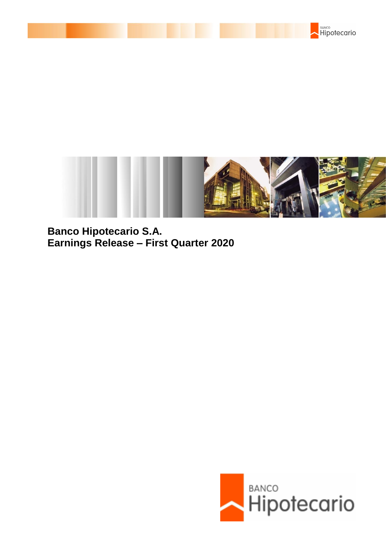



**Banco Hipotecario S.A. Earnings Release – First Quarter 2020**

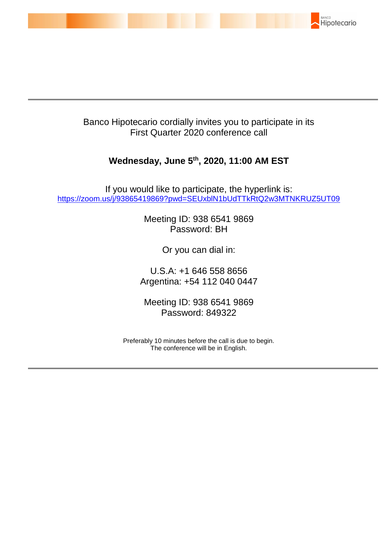

# Banco Hipotecario cordially invites you to participate in its First Quarter 2020 conference call

# **Wednesday, June 5th , 2020, 11:00 AM EST**

If you would like to participate, the hyperlink is: <https://zoom.us/j/93865419869?pwd=SEUxblN1bUdTTkRtQ2w3MTNKRUZ5UT09>

> Meeting ID: 938 6541 9869 Password: BH

> > Or you can dial in:

U.S.A: +1 646 558 8656 Argentina: +54 112 040 0447

Meeting ID: 938 6541 9869 Password: 849322

Preferably 10 minutes before the call is due to begin. The conference will be in English.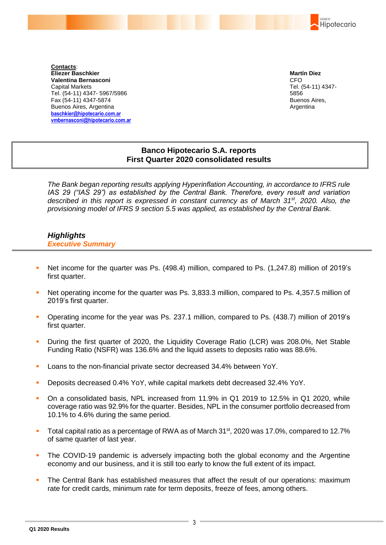BANCO Hipotecario

**Contacts**: **Eliezer Baschkier Valentina Bernasconi** Capital Markets Tel. (54-11) 4347- 5967/5986 Fax (54-11) 4347-5874 Buenos Aires, Argentina **[baschkier@hipotecario.com.ar](mailto:baschkier@hipotecario.com.ar) vmbernasconi@hipotecario.com.ar**

**Martín Diez** CFO Tel. (54-11) 4347- 5856 Buenos Aires, Argentina

# **Banco Hipotecario S.A. reports First Quarter 2020 consolidated results**

*The Bank began reporting results applying Hyperinflation Accounting, in accordance to IFRS rule IAS 29 ("IAS 29") as established by the Central Bank. Therefore, every result and variation described in this report is expressed in constant currency as of March 31st, 2020. Also, the provisioning model of IFRS 9 section 5.5 was applied, as established by the Central Bank.*

# *Highlights*

*Executive Summary*

- Net income for the quarter was Ps. (498.4) million, compared to Ps. (1,247.8) million of 2019's first quarter.
- Net operating income for the quarter was Ps. 3,833.3 million, compared to Ps. 4,357.5 million of 2019's first quarter.
- Operating income for the year was Ps. 237.1 million, compared to Ps. (438.7) million of 2019's first quarter.
- During the first quarter of 2020, the Liquidity Coverage Ratio (LCR) was 208.0%, Net Stable Funding Ratio (NSFR) was 136.6% and the liquid assets to deposits ratio was 88.6%.
- **•** Loans to the non-financial private sector decreased 34.4% between YoY.
- Deposits decreased 0.4% YoY, while capital markets debt decreased 32.4% YoY.
- On a consolidated basis, NPL increased from 11.9% in Q1 2019 to 12.5% in Q1 2020, while coverage ratio was 92.9% for the quarter. Besides, NPL in the consumer portfolio decreased from 10.1% to 4.6% during the same period.
- Total capital ratio as a percentage of RWA as of March 31<sup>st</sup>, 2020 was 17.0%, compared to 12.7% of same quarter of last year.
- **•** The COVID-19 pandemic is adversely impacting both the global economy and the Argentine economy and our business, and it is still too early to know the full extent of its impact.
- The Central Bank has established measures that affect the result of our operations: maximum rate for credit cards, minimum rate for term deposits, freeze of fees, among others.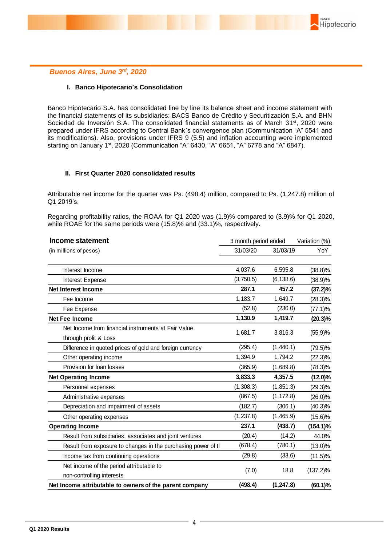

## *Buenos Aires, June 3 rd, 2020*

### **I. Banco Hipotecario's Consolidation**

Banco Hipotecario S.A. has consolidated line by line its balance sheet and income statement with the financial statements of its subsidiaries: BACS Banco de Crédito y Securitización S.A. and BHN Sociedad de Inversión S.A. The consolidated financial statements as of March 31<sup>st</sup>, 2020 were prepared under IFRS according to Central Bank´s convergence plan (Communication "A" 5541 and its modifications). Also, provisions under IFRS 9 (5.5) and inflation accounting were implemented starting on January 1st, 2020 (Communication "A" 6430, "A" 6651, "A" 6778 and "A" 6847).

### **II. First Quarter 2020 consolidated results**

Attributable net income for the quarter was Ps. (498.4) million, compared to Ps. (1,247.8) million of Q1 2019's.

Regarding profitability ratios, the ROAA for Q1 2020 was (1.9)% compared to (3.9)% for Q1 2020, while ROAE for the same periods were (15.8)% and (33.1)%, respectively.

| Income statement                                                             | 3 month period ended |            | Variation (%) |  |
|------------------------------------------------------------------------------|----------------------|------------|---------------|--|
| (in millions of pesos)                                                       | 31/03/20             | 31/03/19   | YoY           |  |
| Interest Income                                                              | 4,037.6              | 6,595.8    | $(38.8)\%$    |  |
| Interest Expense                                                             | (3,750.5)            | (6, 138.6) | (38.9)%       |  |
| <b>Net Interest Income</b>                                                   | 287.1                | 457.2      | $(37.2)\%$    |  |
| Fee Income                                                                   | 1,183.7              | 1,649.7    | $(28.3)\%$    |  |
| Fee Expense                                                                  | (52.8)               | (230.0)    | $(77.1)\%$    |  |
| <b>Net Fee Income</b>                                                        | 1,130.9              | 1,419.7    | $(20.3)\%$    |  |
| Net Income from financial instruments at Fair Value<br>through profit & Loss | 1,681.7              | 3,816.3    | (55.9)%       |  |
| Difference in quoted prices of gold and foreign currency                     | (295.4)              | (1,440.1)  | $(79.5)\%$    |  |
| Other operating income                                                       | 1,394.9              | 1,794.2    | $(22.3)\%$    |  |
| Provision for loan losses                                                    | (365.9)              | (1,689.8)  | $(78.3)\%$    |  |
| <b>Net Operating Income</b>                                                  | 3,833.3              | 4,357.5    | $(12.0)\%$    |  |
| Personnel expenses                                                           | (1,308.3)            | (1, 851.3) | $(29.3)\%$    |  |
| Administrative expenses                                                      | (867.5)              | (1, 172.8) | $(26.0)\%$    |  |
| Depreciation and impairment of assets                                        | (182.7)              | (306.1)    | $(40.3)\%$    |  |
| Other operating expenses                                                     | (1, 237.8)           | (1,465.9)  | $(15.6)\%$    |  |
| <b>Operating Income</b>                                                      | 237.1                | (438.7)    | $(154.1)\%$   |  |
| Result from subsidiaries, associates and joint ventures                      | (20.4)               | (14.2)     | 44.0%         |  |
| Result from exposure to changes in the purchasing power of tl                | (678.4)              | (780.1)    | $(13.0)\%$    |  |
| Income tax from continuing operations                                        | (29.8)               | (33.6)     | $(11.5)\%$    |  |
| Net income of the period attributable to<br>non-controlling interests        | (7.0)                | 18.8       | $(137.2)\%$   |  |
| Net Income attributable to owners of the parent company                      | (498.4)              | (1, 247.8) | $(60.1)\%$    |  |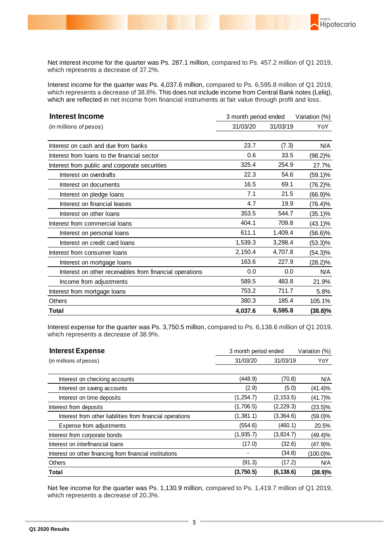

Hipotecario

Interest income for the quarter was Ps. 4,037.6 million, compared to Ps. 6,595.8 million of Q1 2019, which represents a decrease of 38.8%. This does not include income from Central Bank notes (Leliq), which are reflected in net income from financial instruments at fair value through profit and loss.

| <b>Interest Income</b>                                  | 3 month period ended |          | Variation (%) |
|---------------------------------------------------------|----------------------|----------|---------------|
| (in millions of pesos)                                  | 31/03/20             | 31/03/19 | YoY           |
| Interest on cash and due from banks                     | 23.7                 | (7.3)    | N/A           |
| Interest from loans to the financial sector             | 0.6                  | 33.5     | $(98.2)\%$    |
| Interest from public and corporate securities           | 325.4                | 254.9    | 27.7%         |
| Interest on overdrafts                                  | 22.3                 | 54.6     | $(59.1)\%$    |
| Interest on documents                                   | 16.5                 | 69.1     | (76.2)%       |
| Interest on pledge loans                                | 7.1                  | 21.5     | (66.9)%       |
| Interest on financial leases                            | 4.7                  | 19.9     | $(76.4)\%$    |
| Interest on other loans                                 | 353.5                | 544.7    | $(35.1)\%$    |
| Interest from commercial loans                          | 404.1                | 709.8    | $(43.1)\%$    |
| Interest on personal loans                              | 611.1                | 1,409.4  | $(56.6)\%$    |
| Interest on credit card loans                           | 1,539.3              | 3,298.4  | $(53.3)\%$    |
| Interest from consumer loans                            | 2,150.4              | 4,707.8  | $(54.3)\%$    |
| Interest on mortgage loans                              | 163.6                | 227.9    | (28.2)%       |
| Interest on other receivables from financial operations | 0.0                  | 0.0      | N/A           |
| Income from adjustments                                 | 589.5                | 483.8    | 21.9%         |
| Interest from mortgage loans                            | 753.2                | 711.7    | 5.8%          |
| Others                                                  | 380.3                | 185.4    | 105.1%        |
| Total                                                   | 4,037.6              | 6,595.8  | (38.8)%       |

Interest expense for the quarter was Ps. 3,750.5 million, compared to Ps. 6,138.6 million of Q1 2019, which represents a decrease of 38.9%.

| <b>Interest Expense</b>                                   |            | 3 month period ended<br>Variation (%) |             |  |
|-----------------------------------------------------------|------------|---------------------------------------|-------------|--|
| (in millions of pesos)                                    | 31/03/20   | 31/03/19                              | YoY         |  |
|                                                           |            |                                       |             |  |
| Interest on checking accounts                             | (448.9)    | (70.8)                                | N/A         |  |
| Interest on saving accounts                               | (2.9)      | (5.0)                                 | (41.4)%     |  |
| Interest on time deposits                                 | (1, 254.7) | (2, 153.5)                            | $(41.7)\%$  |  |
| Interest from deposits                                    | (1,706.5)  | (2, 229.3)                            | $(23.5)\%$  |  |
| Interest from other liabilities from financial operations | (1,381.1)  | (3,364.6)                             | $(59.0)\%$  |  |
| Expense from adjustments                                  | (554.6)    | (460.1)                               | 20.5%       |  |
| Interest from corporate bonds                             | (1,935.7)  | (3,824.7)                             | $(49.4)\%$  |  |
| Interest on interfinancial loans                          | (17.0)     | (32.6)                                | (47.9)%     |  |
| Interest on other financing from financial institutions   |            | (34.8)                                | $(100.0)\%$ |  |
| <b>Others</b>                                             | (91.3)     | (17.2)                                | N/A         |  |
| <b>Total</b>                                              | (3,750.5)  | (6, 138.6)                            | (38.9)%     |  |

Net fee income for the quarter was Ps. 1,130.9 million, compared to Ps. 1,419.7 million of Q1 2019, which represents a decrease of 20.3%.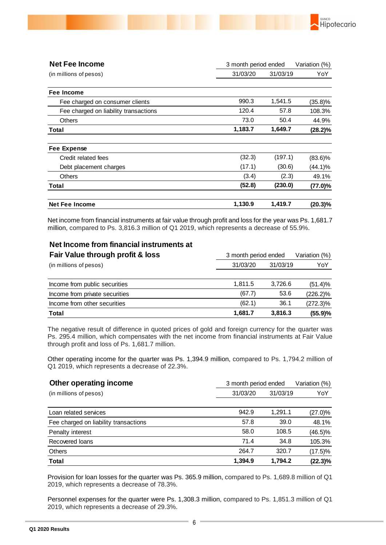

| <b>Net Fee Income</b>                 | 3 month period ended | Variation (%) |            |
|---------------------------------------|----------------------|---------------|------------|
| (in millions of pesos)                | 31/03/20             | 31/03/19      | YoY        |
| <b>Fee Income</b>                     |                      |               |            |
| Fee charged on consumer clients       | 990.3                | 1,541.5       | $(35.8)\%$ |
| Fee charged on liability transactions | 120.4                | 57.8          | 108.3%     |
| <b>Others</b>                         | 73.0                 | 50.4          | 44.9%      |
| Total                                 | 1,183.7              | 1,649.7       | (28.2)%    |
| <b>Fee Expense</b>                    |                      |               |            |
| Credit related fees                   | (32.3)               | (197.1)       | $(83.6)\%$ |
| Debt placement charges                | (17.1)               | (30.6)        | $(44.1)\%$ |
| <b>Others</b>                         | (3.4)                | (2.3)         | 49.1%      |
| <b>Total</b>                          | (52.8)               | (230.0)       | (77.0)%    |
| <b>Net Fee Income</b>                 | 1,130.9              | 1,419.7       | $(20.3)\%$ |

Net income from financial instruments at fair value through profit and loss for the year was Ps. 1,681.7 million, compared to Ps. 3,816.3 million of Q1 2019, which represents a decrease of 55.9%.

## **Net Income from financial instruments at**

| Fair Value through profit & loss | 3 month period ended |          | Variation (%) |  |
|----------------------------------|----------------------|----------|---------------|--|
| (in millions of pesos)           | 31/03/20             | 31/03/19 |               |  |
|                                  |                      |          |               |  |
| Income from public securities    | 1.811.5              | 3.726.6  | $(51.4)\%$    |  |
| Income from private securities   | (67.7)               | 53.6     | $(226.2)\%$   |  |
| Income from other securities     | (62.1)               | 36.1     | $(272.3)\%$   |  |
| Total                            | 1,681.7              | 3,816.3  | (55.9)%       |  |

The negative result of difference in quoted prices of gold and foreign currency for the quarter was Ps. 295.4 million, which compensates with the net income from financial instruments at Fair Value through profit and loss of Ps. 1,681.7 million.

Other operating income for the quarter was Ps. 1,394.9 million, compared to Ps. 1,794.2 million of Q1 2019, which represents a decrease of 22.3%.

| Other operating income                |          | 3 month period ended |            |  |
|---------------------------------------|----------|----------------------|------------|--|
| (in millions of pesos)                | 31/03/20 | 31/03/19             | YoY        |  |
| Loan related services                 | 942.9    | 1,291.1              | $(27.0)\%$ |  |
| Fee charged on liability transactions | 57.8     | 39.0                 | 48.1%      |  |
| Penalty interest                      | 58.0     | 108.5                | $(46.5)\%$ |  |
| Recovered loans                       | 71.4     | 34.8                 | 105.3%     |  |
| <b>Others</b>                         | 264.7    | 320.7                | $(17.5)\%$ |  |
| <b>Total</b>                          | 1.394.9  | 1.794.2              | $(22.3)\%$ |  |

Provision for loan losses for the quarter was Ps. 365.9 million, compared to Ps. 1,689.8 million of Q1 2019, which represents a decrease of 78.3%.

Personnel expenses for the quarter were Ps. 1,308.3 million, compared to Ps. 1,851.3 million of Q1 2019, which represents a decrease of 29.3%.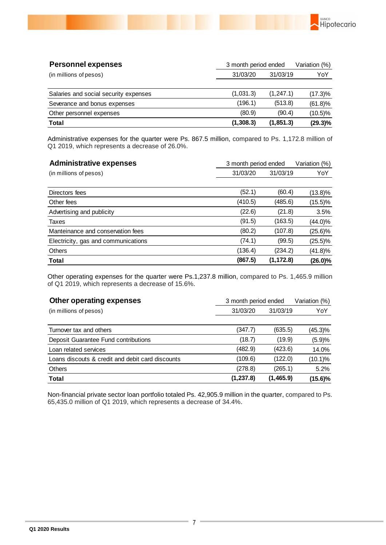

| <b>Personnel expenses</b>             | 3 month period ended | Variation (%) |            |
|---------------------------------------|----------------------|---------------|------------|
| (in millions of pesos)                | 31/03/20             | 31/03/19      | YoY        |
|                                       |                      |               |            |
| Salaries and social security expenses | (1,031.3)            | (1, 247.1)    | $(17.3)\%$ |
| Severance and bonus expenses          | (196.1)              | (513.8)       | $(61.8)\%$ |
| Other personnel expenses              | (80.9)               | (90.4)        | $(10.5)\%$ |
| <b>Total</b>                          | (1,308.3)            | (1, 851.3)    | $(29.3)\%$ |

Administrative expenses for the quarter were Ps. 867.5 million, compared to Ps. 1,172.8 million of Q1 2019, which represents a decrease of 26.0%.

| <b>Administrative expenses</b>      | 3 month period ended |            | Variation (%) |  |
|-------------------------------------|----------------------|------------|---------------|--|
| (in millions of pesos)              | 31/03/20             | 31/03/19   | YoY           |  |
|                                     |                      |            |               |  |
| Directors fees                      | (52.1)               | (60.4)     | $(13.8)\%$    |  |
| Other fees                          | (410.5)              | (485.6)    | $(15.5)\%$    |  |
| Advertising and publicity           | (22.6)               | (21.8)     | 3.5%          |  |
| Taxes                               | (91.5)               | (163.5)    | $(44.0)\%$    |  |
| Manteinance and conservation fees   | (80.2)               | (107.8)    | $(25.6)\%$    |  |
| Electricity, gas and communications | (74.1)               | (99.5)     | $(25.5)\%$    |  |
| <b>Others</b>                       | (136.4)              | (234.2)    | (41.8)%       |  |
| <b>Total</b>                        | (867.5)              | (1, 172.8) | $(26.0)\%$    |  |

Other operating expenses for the quarter were Ps.1,237.8 million, compared to Ps. 1,465.9 million of Q1 2019, which represents a decrease of 15.6%.

| Other operating expenses                         |            | 3 month period ended |            |
|--------------------------------------------------|------------|----------------------|------------|
| (in millions of pesos)                           | 31/03/20   | 31/03/19             |            |
|                                                  |            |                      |            |
| Turnover tax and others                          | (347.7)    | (635.5)              | $(45.3)\%$ |
| Deposit Guarantee Fund contributions             | (18.7)     | (19.9)               | (5.9)%     |
| Loan related services                            | (482.9)    | (423.6)              | 14.0%      |
| Loans discouts & credit and debit card discounts | (109.6)    | (122.0)              | $(10.1)\%$ |
| <b>Others</b>                                    | (278.8)    | (265.1)              | 5.2%       |
| <b>Total</b>                                     | (1, 237.8) | (1,465.9)            | $(15.6)\%$ |

Non-financial private sector loan portfolio totaled Ps. 42,905.9 million in the quarter, compared to Ps. 65,435.0 million of Q1 2019, which represents a decrease of 34.4%.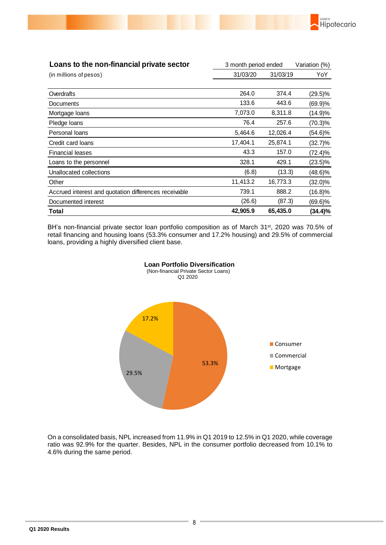

| Loans to the non-financial private sector             | 3 month period ended |          |            |
|-------------------------------------------------------|----------------------|----------|------------|
| (in millions of pesos)                                | 31/03/20             | 31/03/19 | YoY        |
|                                                       |                      |          |            |
| Overdrafts                                            | 264.0                | 374.4    | $(29.5)\%$ |
| Documents                                             | 133.6                | 443.6    | (69.9)%    |
| Mortgage loans                                        | 7,073.0              | 8,311.8  | (14.9)%    |
| Pledge loans                                          | 76.4                 | 257.6    | $(70.3)\%$ |
| Personal loans                                        | 5,464.6              | 12,026.4 | $(54.6)\%$ |
| Credit card loans                                     | 17,404.1             | 25,874.1 | $(32.7)\%$ |
| <b>Financial leases</b>                               | 43.3                 | 157.0    | (72.4)%    |
| Loans to the personnel                                | 328.1                | 429.1    | $(23.5)\%$ |
| Unallocated collections                               | (6.8)                | (13.3)   | $(48.6)\%$ |
| Other                                                 | 11,413.2             | 16,773.3 | (32.0)%    |
| Accrued interest and quotation differences receivable | 739.1                | 888.2    | $(16.8)\%$ |
| Documented interest                                   | (26.6)               | (87.3)   | $(69.6)\%$ |
| Total                                                 | 42,905.9             | 65,435.0 | $(34.4)\%$ |

BH's non-financial private sector loan portfolio composition as of March 31<sup>st</sup>, 2020 was 70.5% of retail financing and housing loans (53.3% consumer and 17.2% housing) and 29.5% of commercial loans, providing a highly diversified client base.





On a consolidated basis, NPL increased from 11.9% in Q1 2019 to 12.5% in Q1 2020, while coverage ratio was 92.9% for the quarter. Besides, NPL in the consumer portfolio decreased from 10.1% to 4.6% during the same period.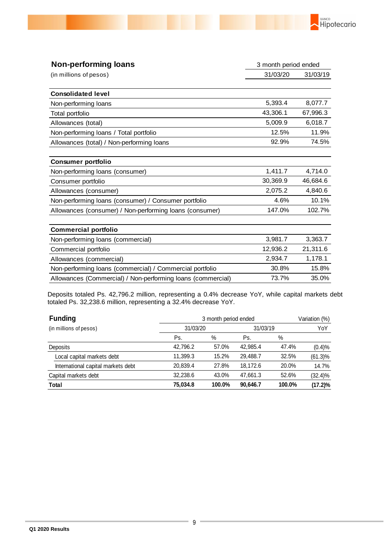

| <b>Non-performing loans</b><br>3 month period ended         |          |          |
|-------------------------------------------------------------|----------|----------|
| (in millions of pesos)                                      | 31/03/20 | 31/03/19 |
| <b>Consolidated level</b>                                   |          |          |
| Non-performing loans                                        | 5,393.4  | 8,077.7  |
| Total portfolio                                             | 43,306.1 | 67,996.3 |
| Allowances (total)                                          | 5,009.9  | 6,018.7  |
| Non-performing loans / Total portfolio                      | 12.5%    | 11.9%    |
| Allowances (total) / Non-performing loans                   | 92.9%    | 74.5%    |
| <b>Consumer portfolio</b>                                   |          |          |
| Non-performing loans (consumer)                             | 1,411.7  | 4,714.0  |
| Consumer portfolio                                          | 30,369.9 | 46,684.6 |
| Allowances (consumer)                                       | 2,075.2  | 4,840.6  |
| Non-performing loans (consumer) / Consumer portfolio        | 4.6%     | 10.1%    |
| Allowances (consumer) / Non-performing loans (consumer)     | 147.0%   | 102.7%   |
| <b>Commercial portfolio</b>                                 |          |          |
| Non-performing loans (commercial)                           | 3,981.7  | 3,363.7  |
| Commercial portfolio                                        | 12,936.2 | 21,311.6 |
| Allowances (commercial)                                     | 2,934.7  | 1,178.1  |
| Non-performing loans (commercial) / Commercial portfolio    | 30.8%    | 15.8%    |
| Allowances (Commercial) / Non-performing loans (commercial) | 73.7%    | 35.0%    |

Deposits totaled Ps. 42,796.2 million, representing a 0.4% decrease YoY, while capital markets debt totaled Ps. 32,238.6 million, representing a 32.4% decrease YoY.

| <b>Funding</b>                     | 3 month period ended |        |          |        | Variation (%) |
|------------------------------------|----------------------|--------|----------|--------|---------------|
| (in millions of pesos)             | 31/03/20             |        | 31/03/19 |        | YoY           |
|                                    | Ps.                  | %      | Ps.      | %      |               |
| Deposits                           | 42,796.2             | 57.0%  | 42.985.4 | 47.4%  | (0.4)%        |
| Local capital markets debt         | 11,399.3             | 15.2%  | 29.488.7 | 32.5%  | $(61.3)\%$    |
| International capital markets debt | 20,839.4             | 27.8%  | 18.172.6 | 20.0%  | 14.7%         |
| Capital markets debt               | 32,238.6             | 43.0%  | 47.661.3 | 52.6%  | $(32.4)\%$    |
| <b>Total</b>                       | 75,034.8             | 100.0% | 90,646.7 | 100.0% | $(17.2)\%$    |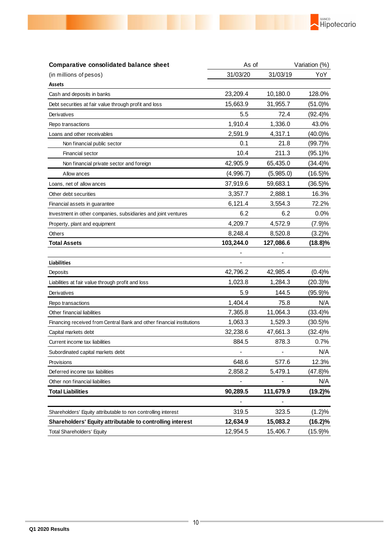

| Comparative consolidated balance sheet                                | As of     |           | Variation (%) |  |
|-----------------------------------------------------------------------|-----------|-----------|---------------|--|
| (in millions of pesos)                                                | 31/03/20  | 31/03/19  | YoY           |  |
| <b>Assets</b>                                                         |           |           |               |  |
| Cash and deposits in banks                                            | 23,209.4  | 10,180.0  | 128.0%        |  |
| Debt securities at fair value through profit and loss                 | 15,663.9  | 31,955.7  | $(51.0)\%$    |  |
| Derivatives                                                           | 5.5       | 72.4      | (92.4)%       |  |
| Repo transactions                                                     | 1,910.4   | 1,336.0   | 43.0%         |  |
| Loans and other receivables                                           | 2,591.9   | 4,317.1   | $(40.0)\%$    |  |
| Non financial public sector                                           | 0.1       | 21.8      | (99.7)%       |  |
| Financial sector                                                      | 10.4      | 211.3     | (95.1)%       |  |
| Non financial private sector and foreign                              | 42,905.9  | 65,435.0  | $(34.4)\%$    |  |
| Allow ances                                                           | (4,996.7) | (5,985.0) | $(16.5)\%$    |  |
| Loans, net of allow ances                                             | 37,919.6  | 59,683.1  | $(36.5)\%$    |  |
| Other debt securities                                                 | 3,357.7   | 2,888.1   | 16.3%         |  |
| Financial assets in guarantee                                         | 6,121.4   | 3,554.3   | 72.2%         |  |
| Investment in other companies, subsidiaries and joint ventures        | 6.2       | 6.2       | 0.0%          |  |
| Property, plant and equipment                                         | 4,209.7   | 4,572.9   | (7.9)%        |  |
| Others                                                                | 8,248.4   | 8,520.8   | (3.2)%        |  |
| <b>Total Assets</b>                                                   | 103,244.0 | 127,086.6 | $(18.8)\%$    |  |
|                                                                       |           |           |               |  |
| Liabilities                                                           |           |           |               |  |
| Deposits                                                              | 42,796.2  | 42,985.4  | (0.4)%        |  |
| Liabilities at fair value through profit and loss                     | 1,023.8   | 1,284.3   | $(20.3)\%$    |  |
| Derivatives                                                           | 5.9       | 144.5     | (95.9)%       |  |
| Repo transactions                                                     | 1,404.4   | 75.8      | N/A           |  |
| Other financial liabilities                                           | 7,365.8   | 11,064.3  | (33.4)%       |  |
| Financing received from Central Bank and other financial institutions | 1,063.3   | 1,529.3   | $(30.5)\%$    |  |
| Capital markets debt                                                  | 32,238.6  | 47,661.3  | (32.4)%       |  |
| Current income tax liabilities                                        | 884.5     | 878.3     | 0.7%          |  |
| Subordinated capital markets debt                                     |           |           | N/A           |  |
| Provisions                                                            | 648.6     | 577.6     | 12.3%         |  |
| Deferred income tax liabilities                                       | 2,858.2   | 5,479.1   | (47.8)%       |  |
| Other non financial liabilities                                       |           |           | N/A           |  |
| <b>Total Liabilities</b>                                              | 90,289.5  | 111,679.9 | $(19.2)\%$    |  |
|                                                                       |           |           |               |  |
| Shareholders' Equity attributable to non controlling interest         | 319.5     | 323.5     | $(1.2)\%$     |  |
| Shareholders' Equity attributable to controlling interest             | 12,634.9  | 15,083.2  | $(16.2)\%$    |  |
| <b>Total Shareholders' Equity</b>                                     | 12,954.5  | 15,406.7  | (15.9)%       |  |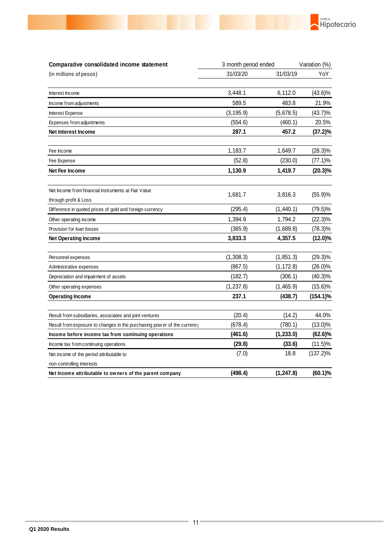

| Comparative consolidated income statement                                | 3 month period ended |            | Variation (%) |
|--------------------------------------------------------------------------|----------------------|------------|---------------|
| (in millions of pesos)                                                   | 31/03/20             | 31/03/19   | YoY           |
| Interest Income                                                          | 3,448.1              | 6,112.0    | $(43.6)\%$    |
| Income from adjustments                                                  | 589.5                | 483.8      | 21.9%         |
| Interest Expense                                                         | (3, 195.9)           | (5,678.5)  | (43.7)%       |
| Expenses from adjuntments                                                | (554.6)              | (460.1)    | 20.5%         |
| <b>Net Interest Income</b>                                               | 287.1                | 457.2      | $(37.2)\%$    |
| Fee Income                                                               | 1,183.7              | 1,649.7    | $(28.3)\%$    |
| Fee Expense                                                              | (52.8)               | (230.0)    | $(77.1)\%$    |
| Net Fee Income                                                           | 1,130.9              | 1,419.7    | $(20.3)\%$    |
| Net Income from financial instruments at Fair Value                      | 1,681.7              | 3,816.3    | (55.9)%       |
| through profit & Loss                                                    |                      |            |               |
| Difference in quoted prices of gold and foreign currency                 | (295.4)              | (1,440.1)  | $(79.5)\%$    |
| Other operating income                                                   | 1,394.9              | 1,794.2    | $(22.3)\%$    |
| Provision for loan losses                                                | (365.9)              | (1,689.8)  | $(78.3)\%$    |
| <b>Net Operating Income</b>                                              | 3,833.3              | 4,357.5    | $(12.0)\%$    |
| Personnel expenses                                                       | (1,308.3)            | (1, 851.3) | $(29.3)\%$    |
| Administrative expenses                                                  | (867.5)              | (1, 172.8) | $(26.0)\%$    |
| Depreciation and impairment of assets                                    | (182.7)              | (306.1)    | $(40.3)\%$    |
| Other operating expenses                                                 | (1, 237.8)           | (1,465.9)  | $(15.6)\%$    |
| <b>Operating Income</b>                                                  | 237.1                | (438.7)    | $(154.1)\%$   |
| Result from subsidiaries, associates and joint ventures                  | (20.4)               | (14.2)     | 44.0%         |
| Result from exposure to changes in the purchasing pow er of the currency | (678.4)              | (780.1)    | $(13.0)\%$    |
| Income before income tax from continuing operations                      | (461.6)              | (1, 233.0) | $(62.6)\%$    |
| Income tax from continuing operations                                    | (29.8)               | (33.6)     | $(11.5)\%$    |
| Net income of the period attributable to                                 | (7.0)                | 18.8       | $(137.2)\%$   |
| non-controlling interests                                                |                      |            |               |
| Net Income attributable to owners of the parent company                  | (498.4)              | (1, 247.8) | $(60.1)\%$    |
|                                                                          |                      |            |               |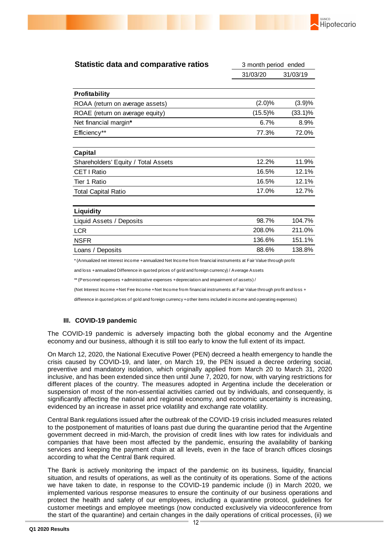

| <b>Statistic data and comparative ratios</b>                                                                     | 3 month period ended |            |  |
|------------------------------------------------------------------------------------------------------------------|----------------------|------------|--|
|                                                                                                                  | 31/03/20             | 31/03/19   |  |
|                                                                                                                  |                      |            |  |
| <b>Profitability</b>                                                                                             |                      |            |  |
| ROAA (return on average assets)                                                                                  | (2.0)%               | (3.9)%     |  |
| ROAE (return on average equity)                                                                                  | $(15.5)\%$           | $(33.1)\%$ |  |
| Net financial margin*                                                                                            | 6.7%                 | 8.9%       |  |
| Efficiency**                                                                                                     | 77.3%                | 72.0%      |  |
| Capital                                                                                                          |                      |            |  |
| Shareholders' Equity / Total Assets                                                                              | 12.2%                | 11.9%      |  |
| <b>CET I Ratio</b>                                                                                               | 16.5%                | 12.1%      |  |
| Tier 1 Ratio                                                                                                     | 16.5%                | 12.1%      |  |
| <b>Total Capital Ratio</b>                                                                                       | 17.0%                | 12.7%      |  |
| Liquidity                                                                                                        |                      |            |  |
| Liquid Assets / Deposits                                                                                         | 98.7%                | 104.7%     |  |
| <b>LCR</b>                                                                                                       | 208.0%               | 211.0%     |  |
| <b>NSFR</b>                                                                                                      | 136.6%               | 151.1%     |  |
| Loans / Deposits                                                                                                 | 88.6%                | 138.8%     |  |
| * (Annualized net interest income +annualized Net Income from financial instruments at Fair Value through profit |                      |            |  |
| and loss +annualized Difference in quoted prices of gold and foreign currency) / Average Assets                  |                      |            |  |

\*\* (Personnel expenses + administrative expenses + depreciation and impairment of assets) /

(Net Interest Income + Net Fee Income + Net Income from financial instruments at Fair Value through profit and loss +

difference in quoted prices of gold and foreign currency + other items included in income and operating expenses)

### **III. COVID-19 pandemic**

The COVID-19 pandemic is adversely impacting both the global economy and the Argentine economy and our business, although it is still too early to know the full extent of its impact.

On March 12, 2020, the National Executive Power (PEN) decreed a health emergency to handle the crisis caused by COVID-19, and later, on March 19, the PEN issued a decree ordering social, preventive and mandatory isolation, which originally applied from March 20 to March 31, 2020 inclusive, and has been extended since then until June 7, 2020, for now, with varying restrictions for different places of the country. The measures adopted in Argentina include the deceleration or suspension of most of the non-essential activities carried out by individuals, and consequently, is significantly affecting the national and regional economy, and economic uncertainty is increasing, evidenced by an increase in asset price volatility and exchange rate volatility.

Central Bank regulations issued after the outbreak of the COVID-19 crisis included measures related to the postponement of maturities of loans past due during the quarantine period that the Argentine government decreed in mid-March, the provision of credit lines with low rates for individuals and companies that have been most affected by the pandemic, ensuring the availability of banking services and keeping the payment chain at all levels, even in the face of branch offices closings according to what the Central Bank required.

The Bank is actively monitoring the impact of the pandemic on its business, liquidity, financial situation, and results of operations, as well as the continuity of its operations. Some of the actions we have taken to date, in response to the COVID-19 pandemic include (i) in March 2020, we implemented various response measures to ensure the continuity of our business operations and protect the health and safety of our employees, including a quarantine protocol, guidelines for customer meetings and employee meetings (now conducted exclusively via videoconference from the start of the quarantine) and certain changes in the daily operations of critical processes, (ii) we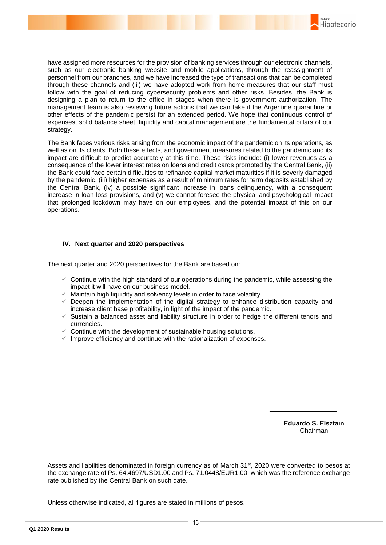

have assigned more resources for the provision of banking services through our electronic channels, such as our electronic banking website and mobile applications, through the reassignment of personnel from our branches, and we have increased the type of transactions that can be completed through these channels and (iii) we have adopted work from home measures that our staff must follow with the goal of reducing cybersecurity problems and other risks. Besides, the Bank is designing a plan to return to the office in stages when there is government authorization. The management team is also reviewing future actions that we can take if the Argentine quarantine or other effects of the pandemic persist for an extended period. We hope that continuous control of expenses, solid balance sheet, liquidity and capital management are the fundamental pillars of our strategy.

The Bank faces various risks arising from the economic impact of the pandemic on its operations, as well as on its clients. Both these effects, and government measures related to the pandemic and its impact are difficult to predict accurately at this time. These risks include: (i) lower revenues as a consequence of the lower interest rates on loans and credit cards promoted by the Central Bank, (ii) the Bank could face certain difficulties to refinance capital market maturities if it is severly damaged by the pandemic, (iii) higher expenses as a result of minimum rates for term deposits established by the Central Bank, (iv) a possible significant increase in loans delinquency, with a consequent increase in loan loss provisions, and (v) we cannot foresee the physical and psychological impact that prolonged lockdown may have on our employees, and the potential impact of this on our operations.

### **IV. Next quarter and 2020 perspectives**

The next quarter and 2020 perspectives for the Bank are based on:

- $\checkmark$  Continue with the high standard of our operations during the pandemic, while assessing the impact it will have on our business model.
- $\checkmark$  Maintain high liquidity and solvency levels in order to face volatility.
- $\checkmark$  Deepen the implementation of the digital strategy to enhance distribution capacity and increase client base profitability, in light of the impact of the pandemic.
- $\checkmark$  Sustain a balanced asset and liability structure in order to hedge the different tenors and currencies.
- $\degree$  Continue with the development of sustainable housing solutions.
- Improve efficiency and continue with the rationalization of expenses.

**Eduardo S. Elsztain** Chairman

Assets and liabilities denominated in foreign currency as of March 31<sup>st</sup>, 2020 were converted to pesos at the exchange rate of Ps. 64.4697/USD1.00 and Ps. 71.0448/EUR1.00, which was the reference exchange rate published by the Central Bank on such date.

Unless otherwise indicated, all figures are stated in millions of pesos.